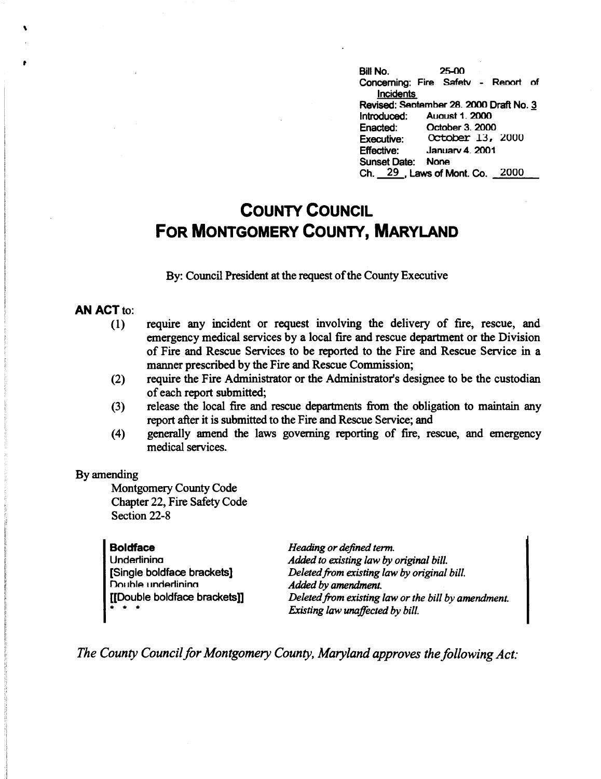Bill No. 25-00 Concerning: Fire Safetv - Report of Incidents **Revised: Sentember 28. 2000 Draft No. 3** Introduced: Auoust 1. 2000 Enacted: October 3. 2000<br>Executive: October 13, **Executive: CCtober 13, 2000**<br>**Effective: January 4, 2001** Januarv 4. 2001 Sunset Date: None Ch. 29 . Laws of Mont. Co. 2000

# **COUNTY COUNCIL FOR MONTGOMERY COUNTY, MARYLAND**

By: Council President at the request of the County Executive

#### **AN ACT** to:

 $\mathbf{r}$ 

**t** 

- (1) require any incident or request involving the delivery of fire, rescue, and emergency medical services by a local fire and rescue department or the Division of Fire and Rescue Services to be reported to the Fire and Rescue Service in a manner prescribed by the Fire and Rescue Commission;
- (2) require the Fire Administrator or the Administrator's designee to be the custodian of each report submitted;
- (3) release the local fire and rescue departments from the obligation to maintain any report after it is submitted to the Fire and Rescue Service; and
- (4) generally amend the laws governing reporting of fire, rescue, and emergency medical services.

#### By amending

Montgomery County Code Chapter 22, Fire Safety Code Section 22-8

#### **Boldface**

**Underlining** [Single boldface brackets] Double underlining [[Double boldface brackets]] \* \* \*

*Heading or defined term. Added to existing law by original bill. Deleted from existing law by original bill. Added by amendment. Deleted from existing law or the bill by amendment. Existing law unaffected by bill.* 

*The County Council for Montgomery County, Maryland approves the following Act:*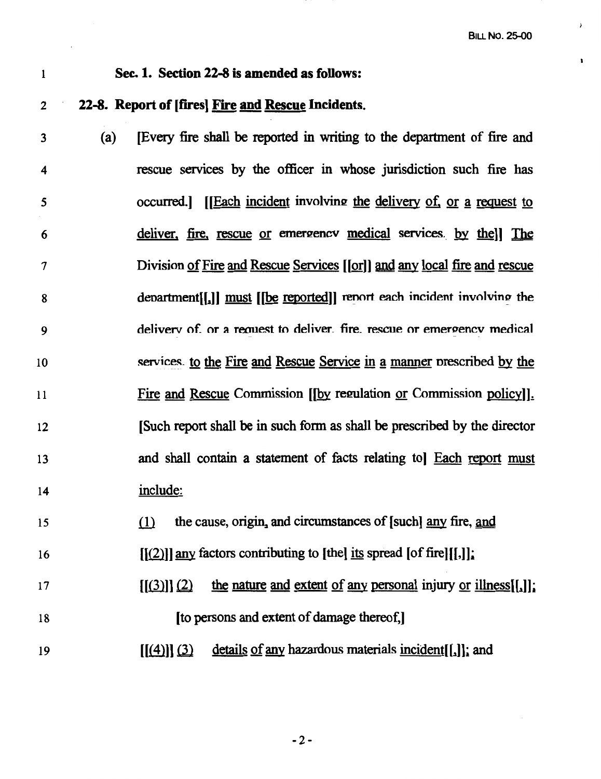$\mathbf{r}$ 

## I **Sec. 1. Section 22-8 is amended as follows:**

### 2 **22-8. Report of [fires) Fire and Rescue Incidents.**

3 (a) [Every fire shall be reported in writing to the department of fire and rescue services by the officer in whose jurisdiction such fire has 4 occurred.] IIEach incident involving the delivery of, or a request to *5*  deliver, fire, rescue or emergency medical services. by thell The 6 Division of Fire and Rescue Services [[or]] and any local fire and rescue 7 department[[1]] must [[be reported]] report each incident involving the 8 delivery of or a request to deliver. fire, rescue or emergency medical 9 services, to the Fire and Rescue Service in a manner prescribed by the 10 Fire and Rescue Commission [[by regulation or Commission policy]]. 11 [Such report shall be in such fonn as shall be prescribed by the director 12 and shall contain a statement of facts relating tol Each report must 13 include: 14

15  $\ell$  the cause, origin, and circumstances of [such] any fire, and

- 16  $[(2)]$  any factors contributing to [the] its spread [of fire][[,]];
- 17 18  $[(3)]$  $(2)$  the nature and extent of any personal injury or illness $[1]$ ; [to persons and extent of damage thereof,]
- 19  $[(4)]$  $(3)$  details of any hazardous materials incident $[[,]]$ ; and

-2-